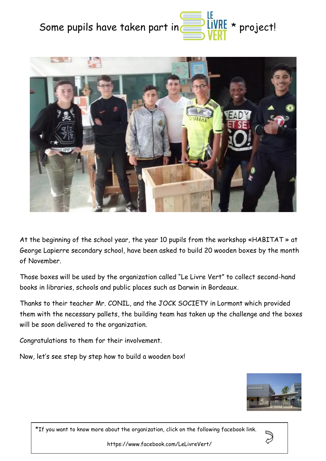



At the beginning of the school year, the year 10 pupils from the workshop «HABITAT » at George Lapierre secondary school, have been asked to build 20 wooden boxes by the month of November.

Those boxes will be used by the organization called "Le Livre Vert" to collect second-hand books in libraries, schools and public places such as Darwin in Bordeaux.

Thanks to their teacher Mr. CONIL, and the JOCK SOCIETY in Lormont which provided them with the necessary pallets, the building team has taken up the challenge and the boxes will be soon delivered to the organization.

Congratulations to them for their involvement.

Now, let's see step by step how to build a wooden box!



\*If you want to know more about the organization, click on the following facebook link.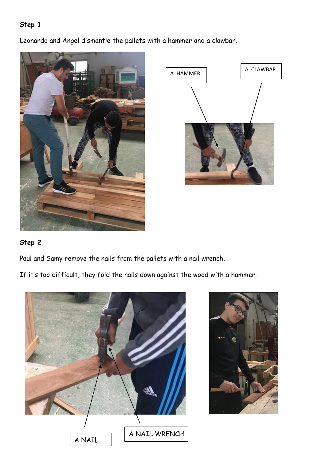Leonardo and Angel dismantle the pallets with a hammer and a clawbar.





### **Step 2**

Paul and Samy remove the nails from the pallets with a nail wrench.

If it's too difficult, they fold the nails down against the wood with a hammer.



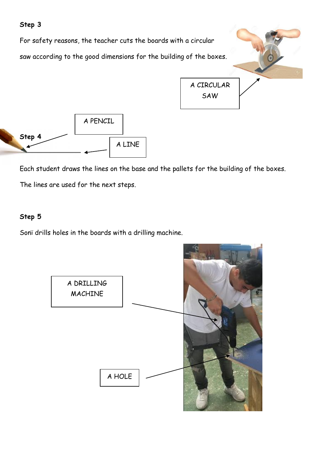

Each student draws the lines on the base and the pallets for the building of the boxes. The lines are used for the next steps.

#### **Step 5**

Sonï drills holes in the boards with a drilling machine.

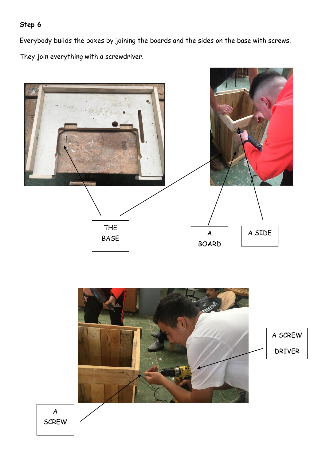Everybody builds the boxes by joining the boards and the sides on the base with screws. They join everything with a screwdriver.